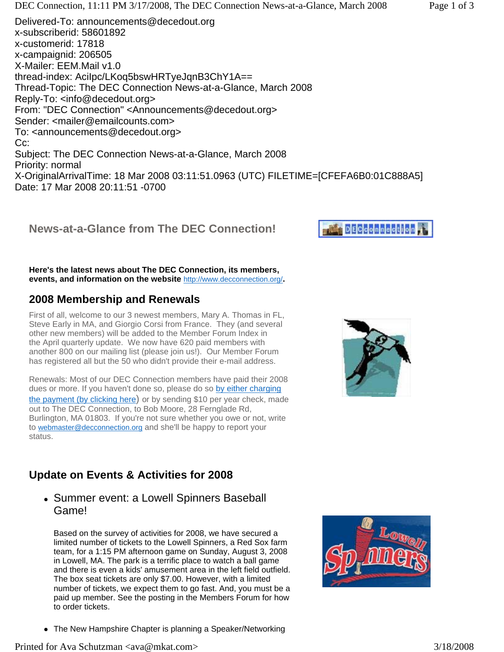$X \sim 0.1$ ginali ilinci Time: 18 Mar 2008 03:11:101:0000 (UTC) FILETIME=[CFEFA6B0:01C888888 Date: 17 Mar 2008 20:11:51 -0700

## **News-at-a-Glance from The DEC Connection!**

**Here's the latest news about The DEC Connection, its members, events, and information on the website** http://www.decconnection.org/**.**

## **2008 Membership and Renewals**

First of all, welcome to our 3 newest members, Mary A. Thomas in FL, Steve Early in MA, and Giorgio Corsi from France. They (and several other new members) will be added to the Member Forum Index in the April quarterly update. We now have 620 paid members with another 800 on our mailing list (please join us!). Our Member Forum has registered all but the 50 who didn't provide their e-mail address.

Renewals: Most of our DEC Connection members have paid their 2008 dues or more. If you haven't done so, please do so by either charging the payment (by clicking here) or by sending \$10 per year check, made out to The DEC Connection, to Bob Moore, 28 Fernglade Rd, Burlington, MA 01803. If you're not sure whether you owe or not, write to webmaster@decconnection.org and she'll be happy to report your status.

## **Update on Events & Activities for 2008**

### • Summer event: a Lowell Spinners Baseball Game!

Based on the survey of activities for 2008, we have secured a limited number of tickets to the Lowell Spinners, a Red Sox farm team, for a 1:15 PM afternoon game on Sunday, August 3, 2008 in Lowell, MA. The park is a terrific place to watch a ball game and there is even a kids' amusement area in the left field outfield. The box seat tickets are only \$7.00. However, with a limited number of tickets, we expect them to go fast. And, you must be a paid up member. See the posting in the Members Forum for how to order tickets.







• The New Hampshire Chapter is planning a Speaker/Networking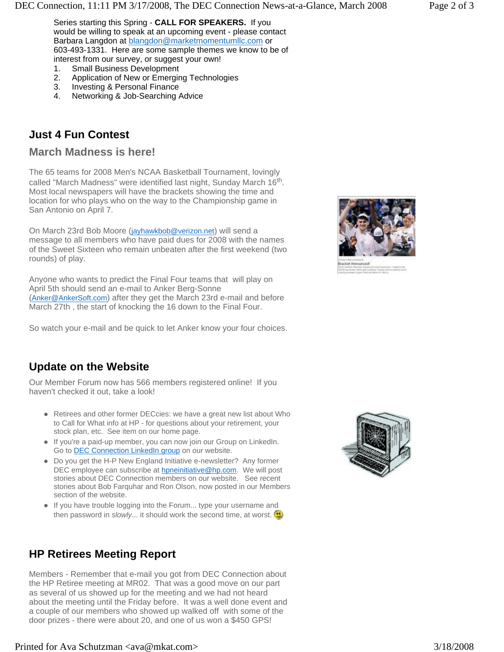Series starting this Spring - **CALL FOR SPEAKERS.** If you would be willing to speak at an upcoming event - please contact Barbara Langdon at blangdon@marketmomentumllc.com or 603-493-1331. Here are some sample themes we know to be of interest from our survey, or suggest your own!<br>1. Small Business Development

- 1. Small Business Development<br>2. Application of New or Emergin
- 2. Application of New or Emerging Technologies
- 3. Investing & Personal Finance<br>4. Networking & Job-Searching
- Networking & Job-Searching Advice

## **Just 4 Fun Contest**

#### **March Madness is here!**

The 65 teams for 2008 Men's NCAA Basketball Tournament, lovingly called "March Madness" were identified last night, Sunday March 16<sup>th</sup>. Most local newspapers will have the brackets showing the time and location for who plays who on the way to the Championship game in San Antonio on April 7.

On March 23rd Bob Moore (jayhawkbob@verizon.net) will send a message to all members who have paid dues for 2008 with the names of the Sweet Sixteen who remain unbeaten after the first weekend (two rounds) of play.

Anyone who wants to predict the Final Four teams that will play on April 5th should send an e-mail to Anker Berg-Sonne (Anker@AnkerSoft.com) after they get the March 23rd e-mail and before March 27th , the start of knocking the 16 down to the Final Four.

So watch your e-mail and be quick to let Anker know your four choices.

## **Update on the Website**

Our Member Forum now has 566 members registered online! If you haven't checked it out, take a look!

- Retirees and other former DECcies: we have a great new list about Who to Call for What info at HP - for questions about your retirement, your stock plan, etc. See item on our home page.
- If you're a paid-up member, you can now join our Group on LinkedIn. Go to **DEC Connection LinkedIn group** on our website.
- Do you get the H-P New England Initiative e-newsletter? Any former DEC employee can subscribe at hpneinitiative@hp.com. We will post stories about DEC Connection members on our website. See recent stories about Bob Farquhar and Ron Olson, now posted in our Members section of the website.
- If you have trouble logging into the Forum... type your username and then password in *slowly...* it should work the second time, at worst.

# **HP Retirees Meeting Report**

Members - Remember that e-mail you got from DEC Connection about the HP Retiree meeting at MR02. That was a good move on our part as several of us showed up for the meeting and we had not heard about the meeting until the Friday before. It was a well done event and a couple of our members who showed up walked off with some of the door prizes - there were about 20, and one of us won a \$450 GPS!